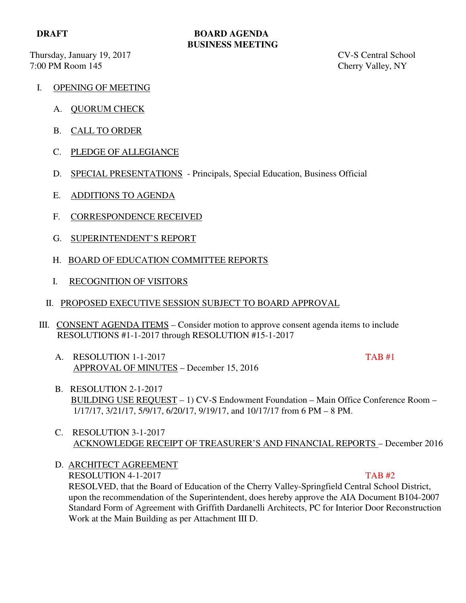Thursday, January 19, 2017 CV-S Central School

## **DRAFT BOARD AGENDA BUSINESS MEETING**

7:00 PM Room 145 Cherry Valley, NY

- I. OPENING OF MEETING
	- A. QUORUM CHECK
	- B. CALL TO ORDER
	- C. PLEDGE OF ALLEGIANCE
	- D. SPECIAL PRESENTATIONS Principals, Special Education, Business Official
	- E. ADDITIONS TO AGENDA
	- F. CORRESPONDENCE RECEIVED
	- G. SUPERINTENDENT'S REPORT
	- H. BOARD OF EDUCATION COMMITTEE REPORTS
	- I. RECOGNITION OF VISITORS
	- II. PROPOSED EXECUTIVE SESSION SUBJECT TO BOARD APPROVAL
- III. CONSENT AGENDA ITEMS Consider motion to approve consent agenda items to include RESOLUTIONS #1-1-2017 through RESOLUTION #15-1-2017
	- A. RESOLUTION 1-1-2017 APPROVAL OF MINUTES – December 15, 2016

- B. RESOLUTION 2-1-2017 BUILDING USE REQUEST – 1) CV-S Endowment Foundation – Main Office Conference Room – 1/17/17, 3/21/17, 5/9/17, 6/20/17, 9/19/17, and 10/17/17 from 6 PM – 8 PM.
- C. RESOLUTION 3-1-2017 ACKNOWLEDGE RECEIPT OF TREASURER'S AND FINANCIAL REPORTS – December 2016
- D. ARCHITECT AGREEMENT RESOLUTION 4-1-2017 TAB #2 RESOLVED, that the Board of Education of the Cherry Valley-Springfield Central School District, upon the recommendation of the Superintendent, does hereby approve the AIA Document B104-2007 Standard Form of Agreement with Griffith Dardanelli Architects, PC for Interior Door Reconstruction Work at the Main Building as per Attachment III D.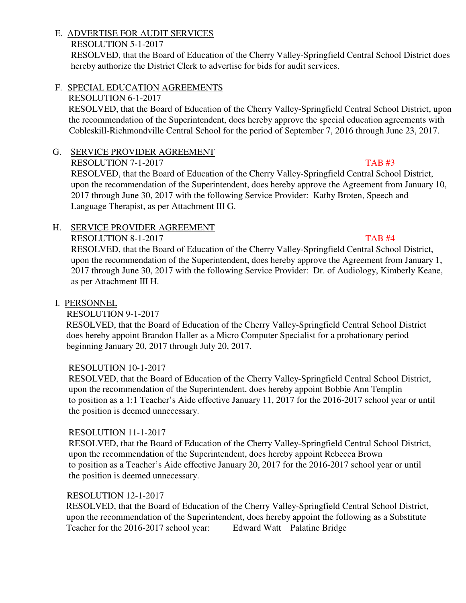## E. ADVERTISE FOR AUDIT SERVICES

## RESOLUTION 5-1-2017

RESOLVED, that the Board of Education of the Cherry Valley-Springfield Central School District does hereby authorize the District Clerk to advertise for bids for audit services.

## F. SPECIAL EDUCATION AGREEMENTS

## RESOLUTION 6-1-2017

 RESOLVED, that the Board of Education of the Cherry Valley-Springfield Central School District, upon the recommendation of the Superintendent, does hereby approve the special education agreements with Cobleskill-Richmondville Central School for the period of September 7, 2016 through June 23, 2017.

# G. SERVICE PROVIDER AGREEMENT

RESOLUTION 7-1-2017 TAB #3 RESOLVED, that the Board of Education of the Cherry Valley-Springfield Central School District, upon the recommendation of the Superintendent, does hereby approve the Agreement from January 10, 2017 through June 30, 2017 with the following Service Provider: Kathy Broten, Speech and Language Therapist, as per Attachment III G.

# H. SERVICE PROVIDER AGREEMENT

## RESOLUTION 8-1-2017 TAB #4

 RESOLVED, that the Board of Education of the Cherry Valley-Springfield Central School District, upon the recommendation of the Superintendent, does hereby approve the Agreement from January 1, 2017 through June 30, 2017 with the following Service Provider: Dr. of Audiology, Kimberly Keane, as per Attachment III H.

## I. PERSONNEL

# RESOLUTION 9-1-2017

 RESOLVED, that the Board of Education of the Cherry Valley-Springfield Central School District does hereby appoint Brandon Haller as a Micro Computer Specialist for a probationary period beginning January 20, 2017 through July 20, 2017.

## RESOLUTION 10-1-2017

 RESOLVED, that the Board of Education of the Cherry Valley-Springfield Central School District, upon the recommendation of the Superintendent, does hereby appoint Bobbie Ann Templin to position as a 1:1 Teacher's Aide effective January 11, 2017 for the 2016-2017 school year or until the position is deemed unnecessary.

## RESOLUTION 11-1-2017

 RESOLVED, that the Board of Education of the Cherry Valley-Springfield Central School District, upon the recommendation of the Superintendent, does hereby appoint Rebecca Brown to position as a Teacher's Aide effective January 20, 2017 for the 2016-2017 school year or until the position is deemed unnecessary.

## RESOLUTION 12-1-2017

 RESOLVED, that the Board of Education of the Cherry Valley-Springfield Central School District, upon the recommendation of the Superintendent, does hereby appoint the following as a Substitute Teacher for the 2016-2017 school year: Edward Watt Palatine Bridge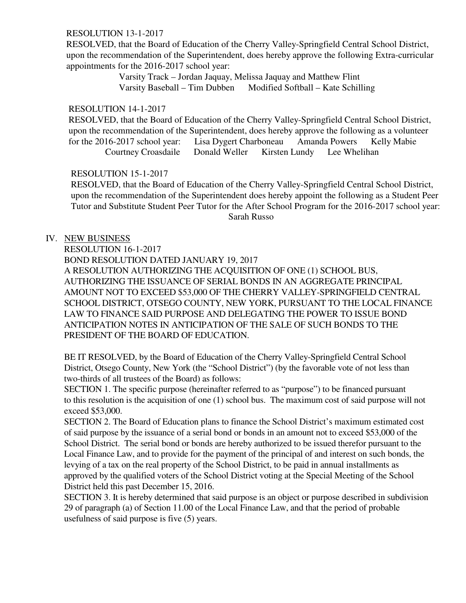#### RESOLUTION 13-1-2017

 RESOLVED, that the Board of Education of the Cherry Valley-Springfield Central School District, upon the recommendation of the Superintendent, does hereby approve the following Extra-curricular appointments for the 2016-2017 school year:

> Varsity Track – Jordan Jaquay, Melissa Jaquay and Matthew Flint Varsity Baseball – Tim Dubben Modified Softball – Kate Schilling

#### RESOLUTION 14-1-2017

 RESOLVED, that the Board of Education of the Cherry Valley-Springfield Central School District, upon the recommendation of the Superintendent, does hereby approve the following as a volunteer for the 2016-2017 school year: Lisa Dygert Charboneau Amanda Powers Kelly Mabie Courtney Croasdaile Donald Weller Kirsten Lundy Lee Whelihan

#### RESOLUTION 15-1-2017

 RESOLVED, that the Board of Education of the Cherry Valley-Springfield Central School District, upon the recommendation of the Superintendent does hereby appoint the following as a Student Peer Tutor and Substitute Student Peer Tutor for the After School Program for the 2016-2017 school year: Sarah Russo

## IV. NEW BUSINESS

RESOLUTION 16-1-2017 BOND RESOLUTION DATED JANUARY 19, 2017 A RESOLUTION AUTHORIZING THE ACQUISITION OF ONE (1) SCHOOL BUS, AUTHORIZING THE ISSUANCE OF SERIAL BONDS IN AN AGGREGATE PRINCIPAL AMOUNT NOT TO EXCEED \$53,000 OF THE CHERRY VALLEY-SPRINGFIELD CENTRAL SCHOOL DISTRICT, OTSEGO COUNTY, NEW YORK, PURSUANT TO THE LOCAL FINANCE LAW TO FINANCE SAID PURPOSE AND DELEGATING THE POWER TO ISSUE BOND ANTICIPATION NOTES IN ANTICIPATION OF THE SALE OF SUCH BONDS TO THE PRESIDENT OF THE BOARD OF EDUCATION.

 BE IT RESOLVED, by the Board of Education of the Cherry Valley-Springfield Central School District, Otsego County, New York (the "School District") (by the favorable vote of not less than two-thirds of all trustees of the Board) as follows:

SECTION 1. The specific purpose (hereinafter referred to as "purpose") to be financed pursuant to this resolution is the acquisition of one (1) school bus. The maximum cost of said purpose will not exceed \$53,000.

SECTION 2. The Board of Education plans to finance the School District's maximum estimated cost of said purpose by the issuance of a serial bond or bonds in an amount not to exceed \$53,000 of the School District. The serial bond or bonds are hereby authorized to be issued therefor pursuant to the Local Finance Law, and to provide for the payment of the principal of and interest on such bonds, the levying of a tax on the real property of the School District, to be paid in annual installments as approved by the qualified voters of the School District voting at the Special Meeting of the School District held this past December 15, 2016.

SECTION 3. It is hereby determined that said purpose is an object or purpose described in subdivision 29 of paragraph (a) of Section 11.00 of the Local Finance Law, and that the period of probable usefulness of said purpose is five (5) years.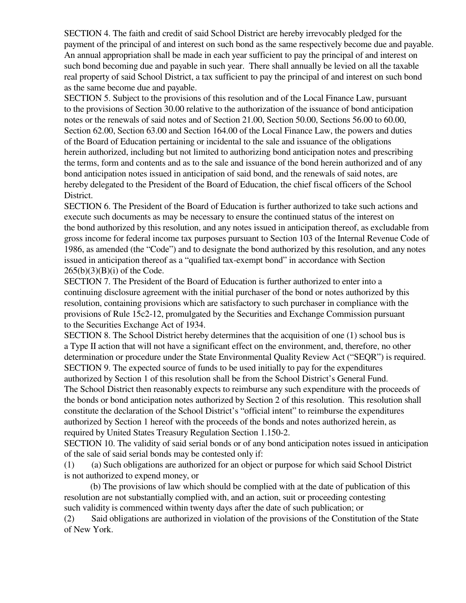SECTION 4. The faith and credit of said School District are hereby irrevocably pledged for the payment of the principal of and interest on such bond as the same respectively become due and payable. An annual appropriation shall be made in each year sufficient to pay the principal of and interest on such bond becoming due and payable in such year. There shall annually be levied on all the taxable real property of said School District, a tax sufficient to pay the principal of and interest on such bond as the same become due and payable.

SECTION 5. Subject to the provisions of this resolution and of the Local Finance Law, pursuant to the provisions of Section 30.00 relative to the authorization of the issuance of bond anticipation notes or the renewals of said notes and of Section 21.00, Section 50.00, Sections 56.00 to 60.00, Section 62.00, Section 63.00 and Section 164.00 of the Local Finance Law, the powers and duties of the Board of Education pertaining or incidental to the sale and issuance of the obligations herein authorized, including but not limited to authorizing bond anticipation notes and prescribing the terms, form and contents and as to the sale and issuance of the bond herein authorized and of any bond anticipation notes issued in anticipation of said bond, and the renewals of said notes, are hereby delegated to the President of the Board of Education, the chief fiscal officers of the School District.

SECTION 6. The President of the Board of Education is further authorized to take such actions and execute such documents as may be necessary to ensure the continued status of the interest on the bond authorized by this resolution, and any notes issued in anticipation thereof, as excludable from gross income for federal income tax purposes pursuant to Section 103 of the Internal Revenue Code of 1986, as amended (the "Code") and to designate the bond authorized by this resolution, and any notes issued in anticipation thereof as a "qualified tax-exempt bond" in accordance with Section  $265(b)(3)(B)(i)$  of the Code.

SECTION 7. The President of the Board of Education is further authorized to enter into a continuing disclosure agreement with the initial purchaser of the bond or notes authorized by this resolution, containing provisions which are satisfactory to such purchaser in compliance with the provisions of Rule 15c2-12, promulgated by the Securities and Exchange Commission pursuant to the Securities Exchange Act of 1934.

SECTION 8. The School District hereby determines that the acquisition of one (1) school bus is a Type II action that will not have a significant effect on the environment, and, therefore, no other determination or procedure under the State Environmental Quality Review Act ("SEQR") is required. SECTION 9. The expected source of funds to be used initially to pay for the expenditures authorized by Section 1 of this resolution shall be from the School District's General Fund. The School District then reasonably expects to reimburse any such expenditure with the proceeds of the bonds or bond anticipation notes authorized by Section 2 of this resolution. This resolution shall constitute the declaration of the School District's "official intent" to reimburse the expenditures authorized by Section 1 hereof with the proceeds of the bonds and notes authorized herein, as required by United States Treasury Regulation Section 1.150-2.

SECTION 10. The validity of said serial bonds or of any bond anticipation notes issued in anticipation of the sale of said serial bonds may be contested only if:

(1) (a) Such obligations are authorized for an object or purpose for which said School District is not authorized to expend money, or

 (b) The provisions of law which should be complied with at the date of publication of this resolution are not substantially complied with, and an action, suit or proceeding contesting such validity is commenced within twenty days after the date of such publication; or

(2) Said obligations are authorized in violation of the provisions of the Constitution of the State of New York.